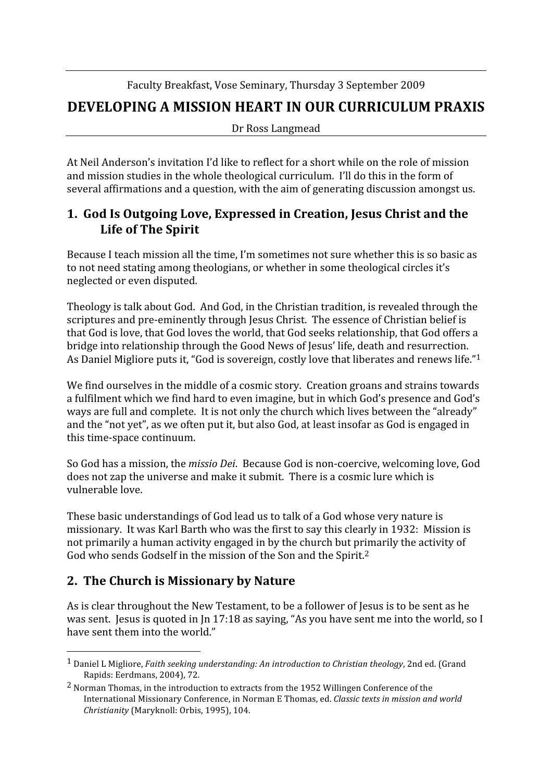#### Faculty
Breakfast,
Vose
Seminary,
Thursday
3
September
2009

# **DEVELOPING
A
MISSION
HEART
IN
OUR
CURRICULUM
PRAXIS**

Dr
Ross
Langmead

At Neil Anderson's invitation I'd like to reflect for a short while on the role of mission and mission studies in the whole theological curriculum. I'll do this in the form of several
affirmations
and
a
question,
with
the
aim
of
generating
discussion
amongst
us.

#### **1.

God
Is
Outgoing
Love,
Expressed
in
Creation,
Jesus
Christ
and
the Life
of
The
Spirit**

Because I teach mission all the time. I'm sometimes not sure whether this is so basic as to
not
need
stating
among
theologians,
or
whether
in
some
theological
circles
it's neglected
or
even
disputed.

Theology is talk about God. And God, in the Christian tradition, is revealed through the scriptures and pre-eminently through Jesus Christ. The essence of Christian belief is that God is love, that God loves the world, that God seeks relationship, that God offers a bridge
into
relationship
through
the
Good
News
of
Jesus'
life,
death
and
resurrection. As Daniel Migliore puts it, "God is sovereign, costly love that liberates and renews life."<sup>1</sup>

We find ourselves in the middle of a cosmic story. Creation groans and strains towards a fulfilment which we find hard to even imagine, but in which God's presence and God's ways are full and complete. It is not only the church which lives between the "already" and the "not yet", as we often put it, but also God, at least insofar as God is engaged in this
time‐space
continuum.

So God has a mission, the *missio Dei*. Because God is non-coercive, welcoming love, God does
not
zap
the
universe
and
make
it
submit.

There
is
a
cosmic
lure
which
is vulnerable
love.

These
basic
understandings
of
God
lead
us
to
talk
of
a
God
whose
very
nature
is missionary.

It
was
Karl
Barth
who
was
the
first
to
say
this
clearly
in
1932:

Mission
is not
primarily
a
human
activity
engaged
in
by
the
church
but
primarily
the
activity
of God who sends Godself in the mission of the Son and the Spirit.<sup>2</sup>

## **2.

The
Church
is
Missionary
by
Nature**

As is clear throughout the New Testament, to be a follower of Jesus is to be sent as he was sent. Jesus is quoted in Jn 17:18 as saying, "As you have sent me into the world, so I have sent them into the world."

<sup>&</sup>lt;sup>1</sup> Daniel L Migliore, *Faith seeking understanding: An introduction to Christian theology*, 2nd ed. (Grand Rapids:
Eerdmans,
2004),
72.

<sup>&</sup>lt;sup>2</sup> Norman Thomas, in the introduction to extracts from the 1952 Willingen Conference of the International
Missionary
Conference,
in
Norman
E
Thomas,
ed. *Classic
texts
in
mission
and
world Christianity*(Maryknoll:
Orbis,
1995),
104.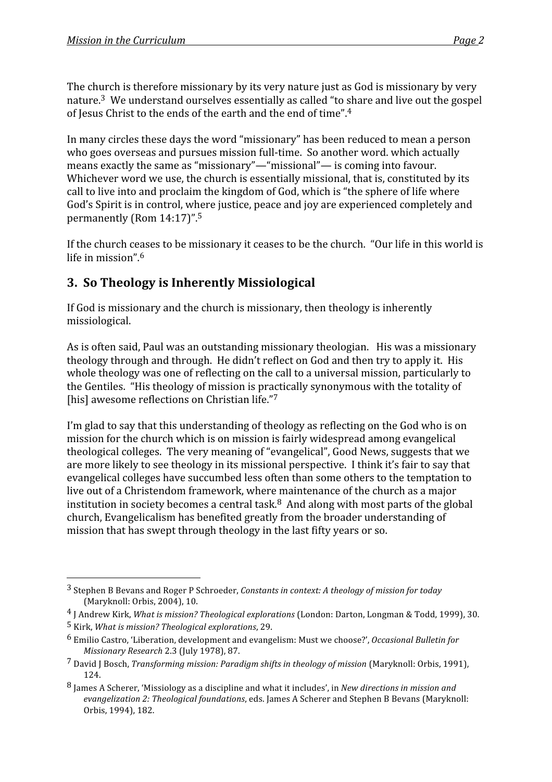The church is therefore missionary by its very nature just as God is missionary by very nature.<sup>3</sup> We understand ourselves essentially as called "to share and live out the gospel of Jesus Christ to the ends of the earth and the end of time".<sup>4</sup>

In
many
circles
these
days
the
word
"missionary"
has
been
reduced
to
mean
a
person who goes overseas and pursues mission full-time. So another word, which actually means exactly the same as "missionary"—"missional"— is coming into favour. Whichever word we use, the church is essentially missional, that is, constituted by its call
to
live
into
and
proclaim
the
kingdom
of
God,
which
is
"the
sphere
of
life
where God's Spirit is in control, where justice, peace and joy are experienced completely and permanently
(Rom
14:17)".5

If the church ceases to be missionary it ceases to be the church. "Our life in this world is life in mission".<sup>6</sup>

# **3.

So
Theology
is
Inherently
Missiological**

If God is missionary and the church is missionary, then theology is inherently missiological.

As is often said, Paul was an outstanding missionary theologian. His was a missionary theology through and through. He didn't reflect on God and then try to apply it. His whole theology was one of reflecting on the call to a universal mission, particularly to the Gentiles. "His theology of mission is practically synonymous with the totality of [his] awesome reflections on Christian life."7

I'm glad to say that this understanding of theology as reflecting on the God who is on mission
for
the
church
which
is
on
mission
is
fairly
widespread
among
evangelical theological
colleges.

The
very
meaning
of
"evangelical",
Good
News,
suggests
that
we are more likely to see theology in its missional perspective. I think it's fair to say that evangelical
colleges
have
succumbed
less
often
than
some
others
to
the
temptation
to live out of a Christendom framework, where maintenance of the church as a major institution in society becomes a central task. $8$  And along with most parts of the global church,
Evangelicalism
has
benefited
greatly
from
the
broader
understanding
of mission
that
has
swept
through
theology
in
the
last
fifty
years
or
so.

<sup>3</sup> Stephen
B
Bevans
and
Roger
P
Schroeder, *Constants
in
context:
A
theology
of
mission
for
today* (Maryknoll:
Orbis,
2004),
10.

<sup>4</sup> J
Andrew
Kirk, *What
is
mission?
Theological
explorations*(London:
Darton,
Longman
&
Todd,
1999),
30.

<sup>5</sup> Kirk, *What
is
mission?
Theological
explorations*,
29.

<sup>6</sup> Emilio
Castro,
'Liberation,
development
and
evangelism:
Must
we
choose?', *Occasional
Bulletin
for Missionary
Research*2.3
(July
1978),
87.

<sup>7</sup> David
J
Bosch, *Transforming
mission:
Paradigm
shifts
in
theology
of
mission*(Maryknoll:
Orbis,
1991), 124.

<sup>&</sup>lt;sup>8</sup> James A Scherer, 'Missiology as a discipline and what it includes', in *New directions in mission and* evangelization 2: Theological foundations, eds. James A Scherer and Stephen B Bevans (Maryknoll: Orbis,
1994),
182.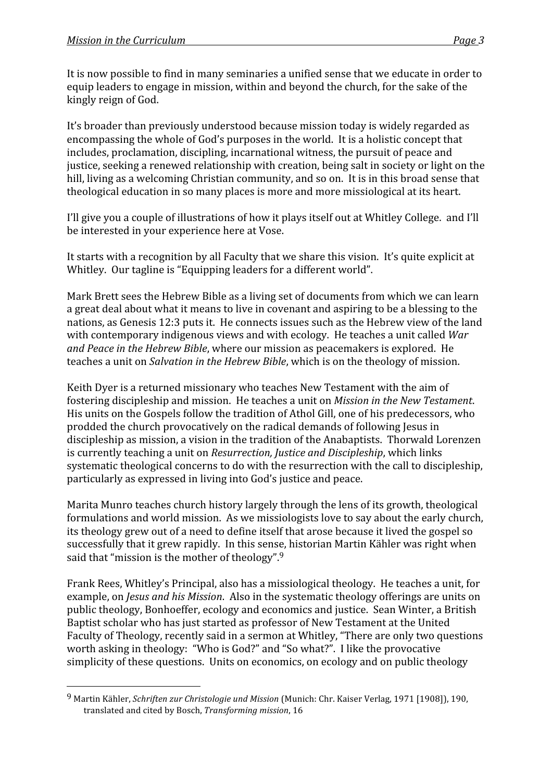It is now possible to find in many seminaries a unified sense that we educate in order to equip
leaders
to
engage
in
mission,
within
and
beyond
the
church,
for
the
sake
of
the kingly
reign
of
God.

It's broader than previously understood because mission today is widely regarded as encompassing
the
whole
of
God's
purposes
in
the
world.

It
is
a
holistic
concept
that includes, proclamation, discipling, incarnational witness, the pursuit of peace and justice, seeking a renewed relationship with creation, being salt in society or light on the hill, living as a welcoming Christian community, and so on. It is in this broad sense that theological
education
in
so
many
places
is
more
and
more
missiological
at
its
heart.

I'll give you a couple of illustrations of how it plays itself out at Whitley College. and I'll be
interested
in
your
experience
here
at
Vose.

It starts with a recognition by all Faculty that we share this vision. It's quite explicit at Whitley. Our tagline is "Equipping leaders for a different world".

Mark Brett sees the Hebrew Bible as a living set of documents from which we can learn a great deal about what it means to live in covenant and aspiring to be a blessing to the nations,
as
Genesis
12:3
puts
it.

He
connects
issues
such
as
the
Hebrew
view
of
the
land with contemporary indigenous views and with ecology. He teaches a unit called War and Peace in the Hebrew Bible, where our mission as peacemakers is explored. He teaches
a
unit
on *Salvation
in
the
Hebrew
Bible*,
which
is
on
the
theology
of
mission.

Keith Dyer is a returned missionary who teaches New Testament with the aim of fostering
discipleship
and
mission.

He
teaches
a
unit
on *Mission
in
the
New
Testament*. His units on the Gospels follow the tradition of Athol Gill, one of his predecessors, who prodded
the
church
provocatively
on
the
radical
demands
of
following
Jesus
in discipleship as mission, a vision in the tradition of the Anabaptists. Thorwald Lorenzen is currently teaching a unit on *Resurrection, Justice and Discipleship*, which links systematic theological concerns to do with the resurrection with the call to discipleship. particularly
as
expressed
in
living
into
God's
justice
and
peace.

Marita Munro teaches church history largely through the lens of its growth, theological formulations
and
world
mission.

As
we
missiologists
love
to
say
about
the
early
church, its
theology
grew
out
of
a
need
to
define
itself
that
arose
because
it
lived
the
gospel
so successfully
that
it
grew
rapidly.

In
this
sense,
historian
Martin
Kähler
was
right
when said that "mission is the mother of theology".<sup>9</sup>

Frank
Rees,
Whitley's
Principal,
also
has
a
missiological
theology.

He
teaches
a
unit,
for example, on *Jesus and his Mission*. Also in the systematic theology offerings are units on public
theology,
Bonhoeffer,
ecology
and
economics
and
justice.

Sean
Winter,
a
British Baptist scholar who has just started as professor of New Testament at the United Faculty of Theology, recently said in a sermon at Whitley, "There are only two questions worth asking in theology: "Who is God?" and "So what?". I like the provocative simplicity of these questions. Units on economics, on ecology and on public theology

<sup>&</sup>lt;sup>9</sup> Martin Kähler. Schriften zur Christologie und Mission (Munich: Chr. Kaiser Verlag, 1971 [1908]), 190, translated
and
cited
by
Bosch, *Transforming
mission*,
16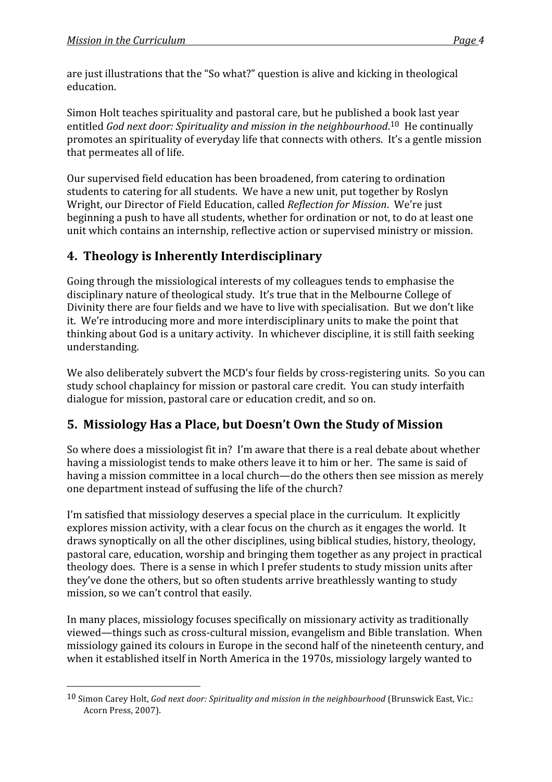are
just
illustrations
that
the
"So
what?"
question
is
alive
and
kicking
in
theological education.

Simon
Holt
teaches
spirituality
and
pastoral
care,
but
he
published
a
book
last
year entitled God next door: Spirituality and mission in the neighbourhood.<sup>10</sup> He continually promotes
an
spirituality
of
everyday
life
that
connects
with
others.

It's
a
gentle
mission that
permeates
all
of
life.

Our
supervised
field
education
has
been
broadened,
from
catering
to
ordination students
to
catering
for
all
students.

We
have
a
new
unit,
put
together
by
Roslyn Wright,
our
Director
of
Field
Education,
called *Reflection
for
Mission*.

We're
just beginning
a
push
to
have
all
students,
whether
for
ordination
or
not,
to
do
at
least
one unit
which
contains
an
internship,
reflective
action
or
supervised
ministry
or
mission.

### **4.

Theology
is
Inherently
Interdisciplinary**

Going through the missiological interests of my colleagues tends to emphasise the disciplinary nature of theological study. It's true that in the Melbourne College of Divinity there are four fields and we have to live with specialisation. But we don't like it.

We're
introducing
more
and
more
interdisciplinary
units
to
make
the
point
that thinking about God is a unitary activity. In whichever discipline, it is still faith seeking understanding.

We also deliberately subvert the MCD's four fields by cross-registering units. So you can study school chaplaincy for mission or pastoral care credit. You can study interfaith dialogue for mission, pastoral care or education credit, and so on.

## **5.

Missiology
Has
a
Place,
but
Doesn't
Own
the
Study
of
Mission**

So
where
does
a
missiologist
fit
in?

I'm
aware
that
there
is
a
real
debate
about
whether having a missiologist tends to make others leave it to him or her. The same is said of having a mission committee in a local church—do the others then see mission as merely one
department
instead
of
suffusing
the
life
of
the
church?

I'm satisfied that missiology deserves a special place in the curriculum. It explicitly explores mission activity, with a clear focus on the church as it engages the world. It draws
synoptically
on
all
the
other
disciplines,
using
biblical
studies,
history,
theology, pastoral
care,
education,
worship
and
bringing
them
together
as
any
project
in
practical theology
does.

There
is
a
sense
in
which
I
prefer
students
to
study
mission
units
after they've done the others, but so often students arrive breathlessly wanting to study mission,
so
we
can't
control
that
easily.

In many places, missiology focuses specifically on missionary activity as traditionally viewed—things
such
as
cross‐cultural
mission,
evangelism
and
Bible
translation.

When missiology
gained
its
colours
in
Europe
in
the
second
half
of
the
nineteenth
century,
and when it established itself in North America in the 1970s, missiology largely wanted to

<sup>&</sup>lt;sup>10</sup> Simon Carey Holt, God next door: Spirituality and mission in the neighbourhood (Brunswick East, Vic.: Acorn
Press,
2007).